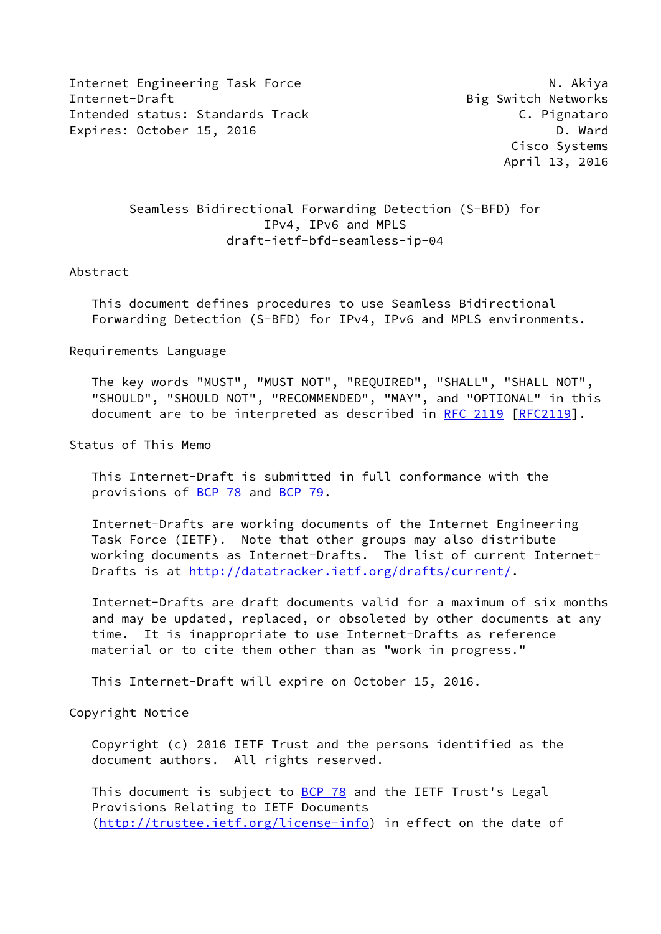Internet Engineering Task Force N. Akiya Internet-Draft **Big Switch Networks** Intended status: Standards Track C. Pignataro Expires: October 15, 2016 **D. Ward** 

 Cisco Systems April 13, 2016

## Seamless Bidirectional Forwarding Detection (S-BFD) for IPv4, IPv6 and MPLS draft-ietf-bfd-seamless-ip-04

## Abstract

 This document defines procedures to use Seamless Bidirectional Forwarding Detection (S-BFD) for IPv4, IPv6 and MPLS environments.

Requirements Language

 The key words "MUST", "MUST NOT", "REQUIRED", "SHALL", "SHALL NOT", "SHOULD", "SHOULD NOT", "RECOMMENDED", "MAY", and "OPTIONAL" in this document are to be interpreted as described in [RFC 2119 \[RFC2119](https://datatracker.ietf.org/doc/pdf/rfc2119)].

Status of This Memo

 This Internet-Draft is submitted in full conformance with the provisions of [BCP 78](https://datatracker.ietf.org/doc/pdf/bcp78) and [BCP 79](https://datatracker.ietf.org/doc/pdf/bcp79).

 Internet-Drafts are working documents of the Internet Engineering Task Force (IETF). Note that other groups may also distribute working documents as Internet-Drafts. The list of current Internet- Drafts is at<http://datatracker.ietf.org/drafts/current/>.

 Internet-Drafts are draft documents valid for a maximum of six months and may be updated, replaced, or obsoleted by other documents at any time. It is inappropriate to use Internet-Drafts as reference material or to cite them other than as "work in progress."

This Internet-Draft will expire on October 15, 2016.

Copyright Notice

 Copyright (c) 2016 IETF Trust and the persons identified as the document authors. All rights reserved.

This document is subject to **[BCP 78](https://datatracker.ietf.org/doc/pdf/bcp78)** and the IETF Trust's Legal Provisions Relating to IETF Documents [\(http://trustee.ietf.org/license-info](http://trustee.ietf.org/license-info)) in effect on the date of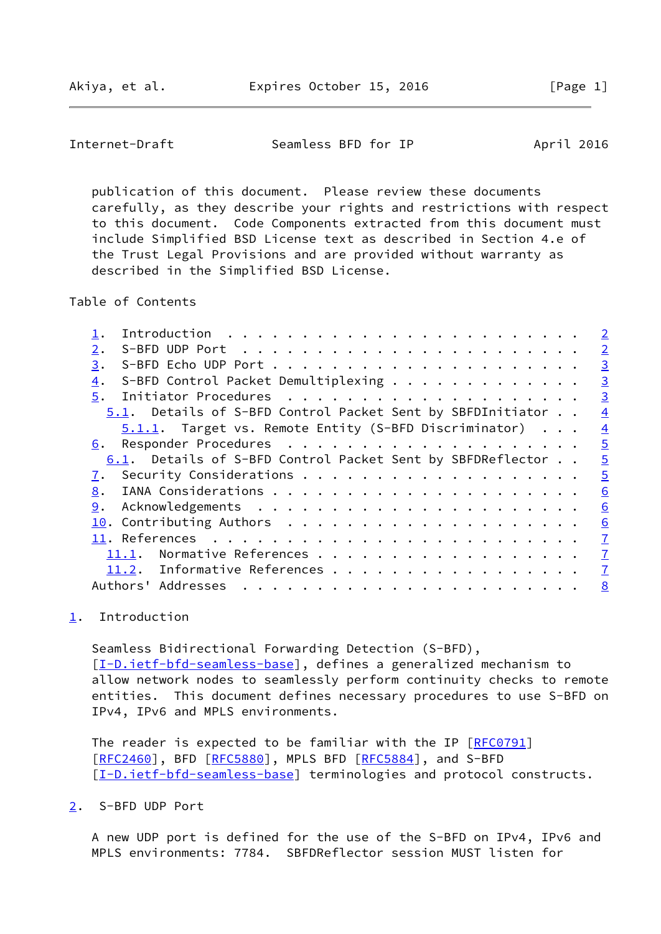<span id="page-1-1"></span>Internet-Draft Seamless BFD for IP April 2016

 publication of this document. Please review these documents carefully, as they describe your rights and restrictions with respect to this document. Code Components extracted from this document must include Simplified BSD License text as described in Section 4.e of the Trust Legal Provisions and are provided without warranty as described in the Simplified BSD License.

Table of Contents

|                                                            | $\overline{2}$ |
|------------------------------------------------------------|----------------|
| 2.                                                         | $\overline{2}$ |
| 3.                                                         | $\overline{3}$ |
| S-BFD Control Packet Demultiplexing<br>4.                  | $\overline{3}$ |
| 5.                                                         | $\overline{3}$ |
| 5.1. Details of S-BFD Control Packet Sent by SBFDInitiator | $\overline{4}$ |
| $5.1.1$ . Target vs. Remote Entity (S-BFD Discriminator)   | $\overline{4}$ |
| 6.                                                         | $\overline{5}$ |
| 6.1. Details of S-BFD Control Packet Sent by SBFDReflector | $\overline{5}$ |
|                                                            | $\overline{5}$ |
| 8.                                                         | 6              |
| 9.                                                         | 6              |
|                                                            | 6              |
|                                                            | $\overline{1}$ |
| 11.1. Normative References                                 | $\overline{1}$ |
| 11.2. Informative References                               | $\overline{1}$ |
| Authors' Addresses                                         | 8              |
|                                                            |                |

<span id="page-1-0"></span>[1](#page-1-0). Introduction

 Seamless Bidirectional Forwarding Detection (S-BFD), [\[I-D.ietf-bfd-seamless-base\]](#page-6-5), defines a generalized mechanism to allow network nodes to seamlessly perform continuity checks to remote entities. This document defines necessary procedures to use S-BFD on IPv4, IPv6 and MPLS environments.

The reader is expected to be familiar with the IP [[RFC0791](https://datatracker.ietf.org/doc/pdf/rfc0791)] [\[RFC2460](https://datatracker.ietf.org/doc/pdf/rfc2460)], BFD [\[RFC5880](https://datatracker.ietf.org/doc/pdf/rfc5880)], MPLS BFD [[RFC5884\]](https://datatracker.ietf.org/doc/pdf/rfc5884), and S-BFD [\[I-D.ietf-bfd-seamless-base\]](#page-6-5) terminologies and protocol constructs.

<span id="page-1-2"></span>[2](#page-1-2). S-BFD UDP Port

 A new UDP port is defined for the use of the S-BFD on IPv4, IPv6 and MPLS environments: 7784. SBFDReflector session MUST listen for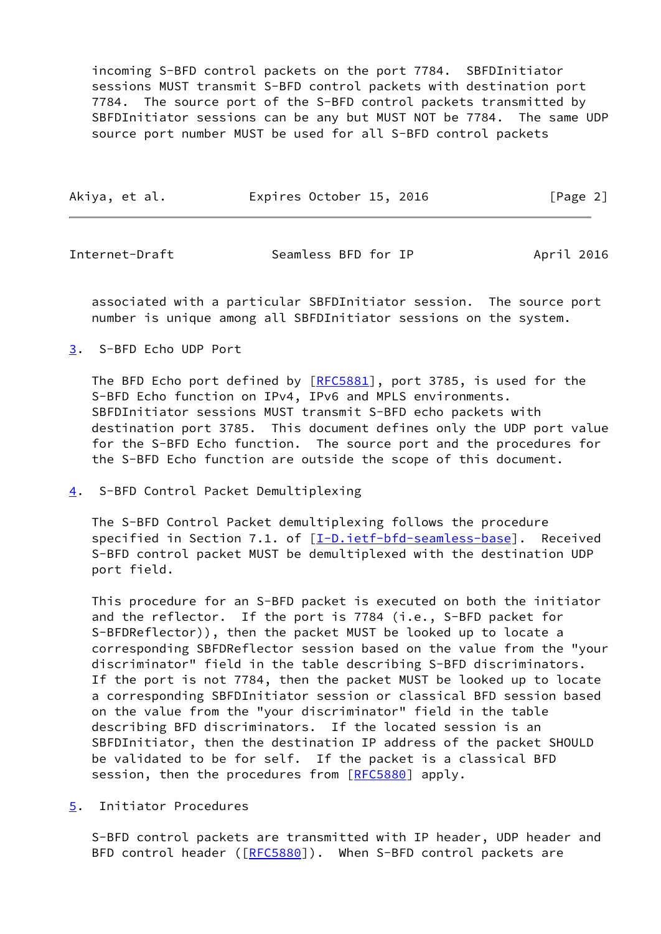incoming S-BFD control packets on the port 7784. SBFDInitiator sessions MUST transmit S-BFD control packets with destination port 7784. The source port of the S-BFD control packets transmitted by SBFDInitiator sessions can be any but MUST NOT be 7784. The same UDP source port number MUST be used for all S-BFD control packets

| Akiya, et al. | Expires October 15, 2016 | [Page 2] |
|---------------|--------------------------|----------|
|               |                          |          |

<span id="page-2-1"></span>Internet-Draft Seamless BFD for IP April 2016

 associated with a particular SBFDInitiator session. The source port number is unique among all SBFDInitiator sessions on the system.

<span id="page-2-0"></span>[3](#page-2-0). S-BFD Echo UDP Port

The BFD Echo port defined by [\[RFC5881](https://datatracker.ietf.org/doc/pdf/rfc5881)], port 3785, is used for the S-BFD Echo function on IPv4, IPv6 and MPLS environments. SBFDInitiator sessions MUST transmit S-BFD echo packets with destination port 3785. This document defines only the UDP port value for the S-BFD Echo function. The source port and the procedures for the S-BFD Echo function are outside the scope of this document.

<span id="page-2-2"></span>[4](#page-2-2). S-BFD Control Packet Demultiplexing

 The S-BFD Control Packet demultiplexing follows the procedure specified in Section 7.1. of [\[I-D.ietf-bfd-seamless-base\]](#page-6-5). Received S-BFD control packet MUST be demultiplexed with the destination UDP port field.

 This procedure for an S-BFD packet is executed on both the initiator and the reflector. If the port is 7784 (i.e., S-BFD packet for S-BFDReflector)), then the packet MUST be looked up to locate a corresponding SBFDReflector session based on the value from the "your discriminator" field in the table describing S-BFD discriminators. If the port is not 7784, then the packet MUST be looked up to locate a corresponding SBFDInitiator session or classical BFD session based on the value from the "your discriminator" field in the table describing BFD discriminators. If the located session is an SBFDInitiator, then the destination IP address of the packet SHOULD be validated to be for self. If the packet is a classical BFD session, then the procedures from [[RFC5880](https://datatracker.ietf.org/doc/pdf/rfc5880)] apply.

<span id="page-2-3"></span>[5](#page-2-3). Initiator Procedures

 S-BFD control packets are transmitted with IP header, UDP header and BFD control header ([\[RFC5880](https://datatracker.ietf.org/doc/pdf/rfc5880)]). When S-BFD control packets are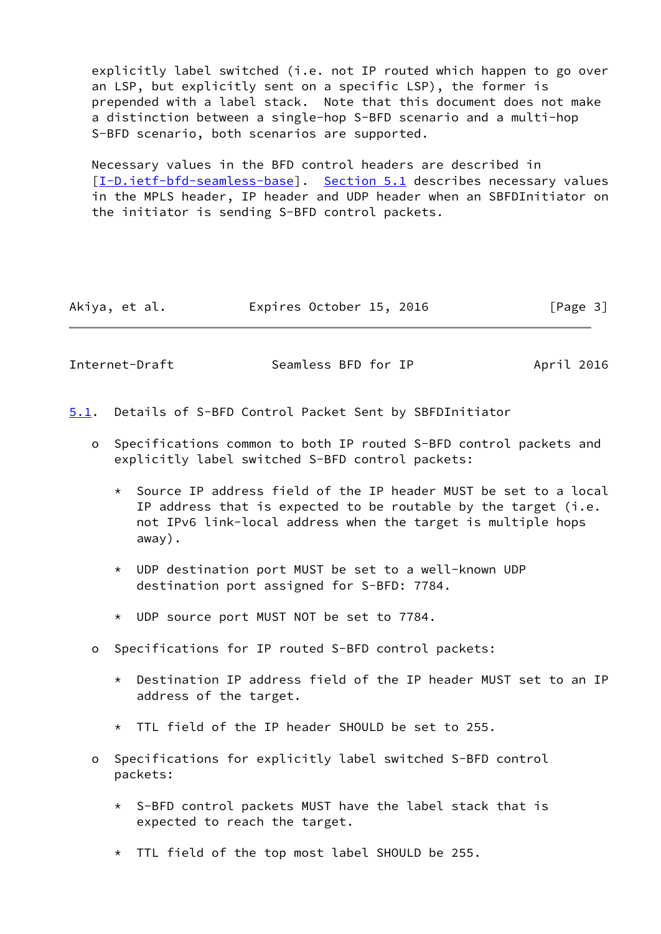explicitly label switched (i.e. not IP routed which happen to go over an LSP, but explicitly sent on a specific LSP), the former is prepended with a label stack. Note that this document does not make a distinction between a single-hop S-BFD scenario and a multi-hop S-BFD scenario, both scenarios are supported.

 Necessary values in the BFD control headers are described in [\[I-D.ietf-bfd-seamless-base\]](#page-6-5). [Section 5.1](#page-3-0) describes necessary values in the MPLS header, IP header and UDP header when an SBFDInitiator on the initiator is sending S-BFD control packets.

| Akiya, et al. | Expires October 15, 2016 | [Page 3] |
|---------------|--------------------------|----------|
|---------------|--------------------------|----------|

<span id="page-3-1"></span>Internet-Draft Seamless BFD for IP April 2016

- <span id="page-3-0"></span>[5.1](#page-3-0). Details of S-BFD Control Packet Sent by SBFDInitiator
	- o Specifications common to both IP routed S-BFD control packets and explicitly label switched S-BFD control packets:
		- \* Source IP address field of the IP header MUST be set to a local IP address that is expected to be routable by the target (i.e. not IPv6 link-local address when the target is multiple hops away).
		- \* UDP destination port MUST be set to a well-known UDP destination port assigned for S-BFD: 7784.
		- \* UDP source port MUST NOT be set to 7784.
	- o Specifications for IP routed S-BFD control packets:
		- \* Destination IP address field of the IP header MUST set to an IP address of the target.
		- \* TTL field of the IP header SHOULD be set to 255.
	- o Specifications for explicitly label switched S-BFD control packets:
		- \* S-BFD control packets MUST have the label stack that is expected to reach the target.
		- \* TTL field of the top most label SHOULD be 255.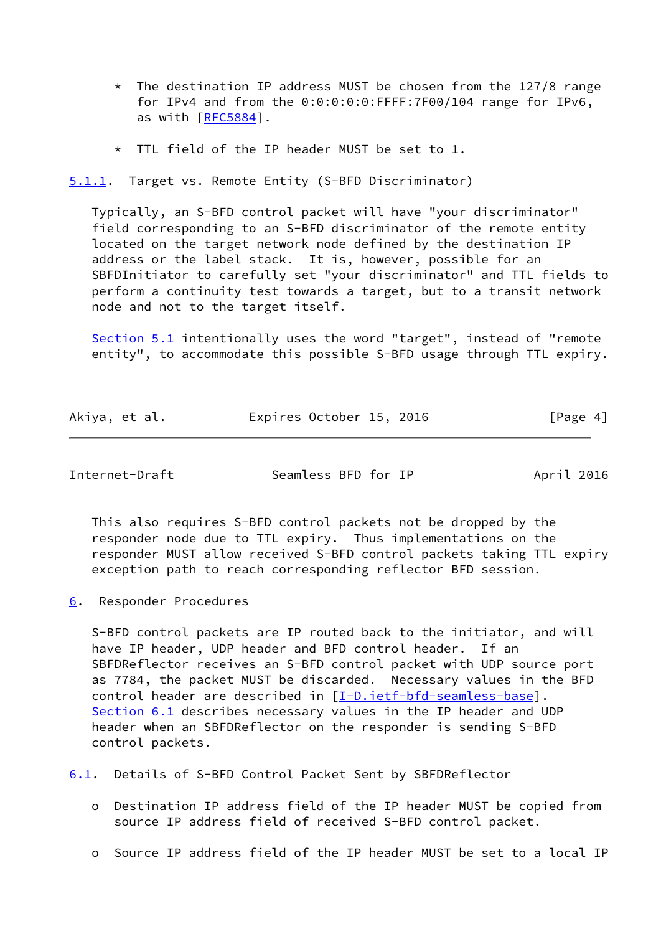- $*$  The destination IP address MUST be chosen from the 127/8 range for IPv4 and from the 0:0:0:0:0:FFFF:7F00/104 range for IPv6, as with [[RFC5884](https://datatracker.ietf.org/doc/pdf/rfc5884)].
- \* TTL field of the IP header MUST be set to 1.

<span id="page-4-0"></span>[5.1.1](#page-4-0). Target vs. Remote Entity (S-BFD Discriminator)

 Typically, an S-BFD control packet will have "your discriminator" field corresponding to an S-BFD discriminator of the remote entity located on the target network node defined by the destination IP address or the label stack. It is, however, possible for an SBFDInitiator to carefully set "your discriminator" and TTL fields to perform a continuity test towards a target, but to a transit network node and not to the target itself.

 [Section 5.1](#page-3-0) intentionally uses the word "target", instead of "remote entity", to accommodate this possible S-BFD usage through TTL expiry.

| Akiya, et al. | Expires October 15, 2016 |  | [Page 4] |
|---------------|--------------------------|--|----------|
|---------------|--------------------------|--|----------|

<span id="page-4-2"></span>Internet-Draft Seamless BFD for IP April 2016

 This also requires S-BFD control packets not be dropped by the responder node due to TTL expiry. Thus implementations on the responder MUST allow received S-BFD control packets taking TTL expiry exception path to reach corresponding reflector BFD session.

<span id="page-4-1"></span>[6](#page-4-1). Responder Procedures

 S-BFD control packets are IP routed back to the initiator, and will have IP header, UDP header and BFD control header. If an SBFDReflector receives an S-BFD control packet with UDP source port as 7784, the packet MUST be discarded. Necessary values in the BFD control header are described in [\[I-D.ietf-bfd-seamless-base\]](#page-6-5). [Section 6.1](#page-4-3) describes necessary values in the IP header and UDP header when an SBFDReflector on the responder is sending S-BFD control packets.

<span id="page-4-3"></span>[6.1](#page-4-3). Details of S-BFD Control Packet Sent by SBFDReflector

- o Destination IP address field of the IP header MUST be copied from source IP address field of received S-BFD control packet.
- o Source IP address field of the IP header MUST be set to a local IP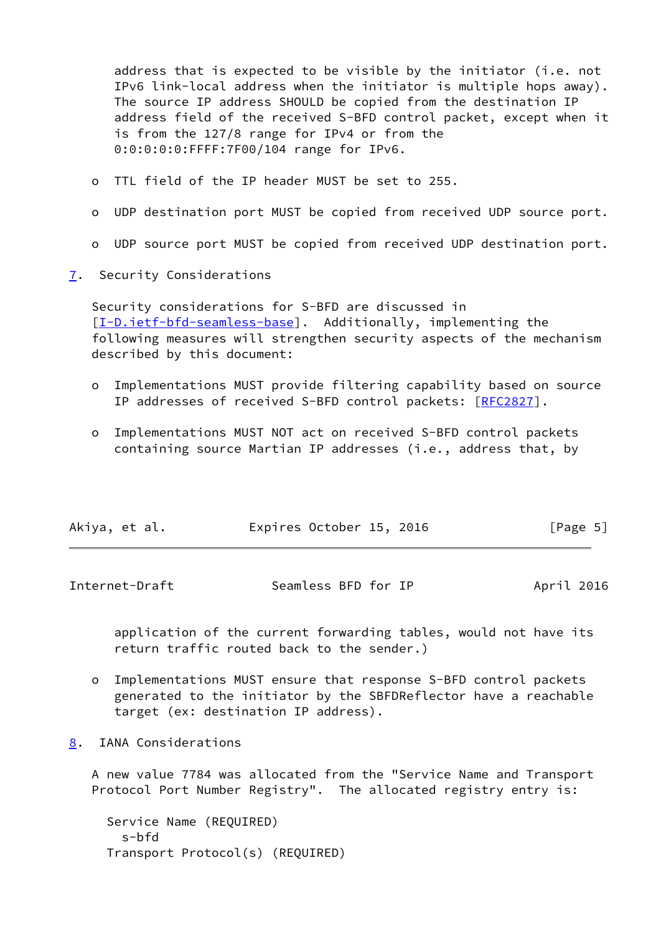address that is expected to be visible by the initiator (i.e. not IPv6 link-local address when the initiator is multiple hops away). The source IP address SHOULD be copied from the destination IP address field of the received S-BFD control packet, except when it is from the 127/8 range for IPv4 or from the 0:0:0:0:0:FFFF:7F00/104 range for IPv6.

- o TTL field of the IP header MUST be set to 255.
- o UDP destination port MUST be copied from received UDP source port.
- o UDP source port MUST be copied from received UDP destination port.
- <span id="page-5-0"></span>[7](#page-5-0). Security Considerations

 Security considerations for S-BFD are discussed in [\[I-D.ietf-bfd-seamless-base\]](#page-6-5). Additionally, implementing the following measures will strengthen security aspects of the mechanism described by this document:

- o Implementations MUST provide filtering capability based on source IP addresses of received S-BFD control packets: [[RFC2827\]](https://datatracker.ietf.org/doc/pdf/rfc2827).
- o Implementations MUST NOT act on received S-BFD control packets containing source Martian IP addresses (i.e., address that, by

| Akiya, et al. | Expires October 15, 2016 | [Page 5] |
|---------------|--------------------------|----------|
|               |                          |          |

<span id="page-5-2"></span>

| Internet-Draft | Seamless BFD for IP | April 2016 |
|----------------|---------------------|------------|
|----------------|---------------------|------------|

 application of the current forwarding tables, would not have its return traffic routed back to the sender.)

- o Implementations MUST ensure that response S-BFD control packets generated to the initiator by the SBFDReflector have a reachable target (ex: destination IP address).
- <span id="page-5-1"></span>[8](#page-5-1). IANA Considerations

 A new value 7784 was allocated from the "Service Name and Transport Protocol Port Number Registry". The allocated registry entry is:

```
 Service Name (REQUIRED)
  s-bfd
Transport Protocol(s) (REQUIRED)
```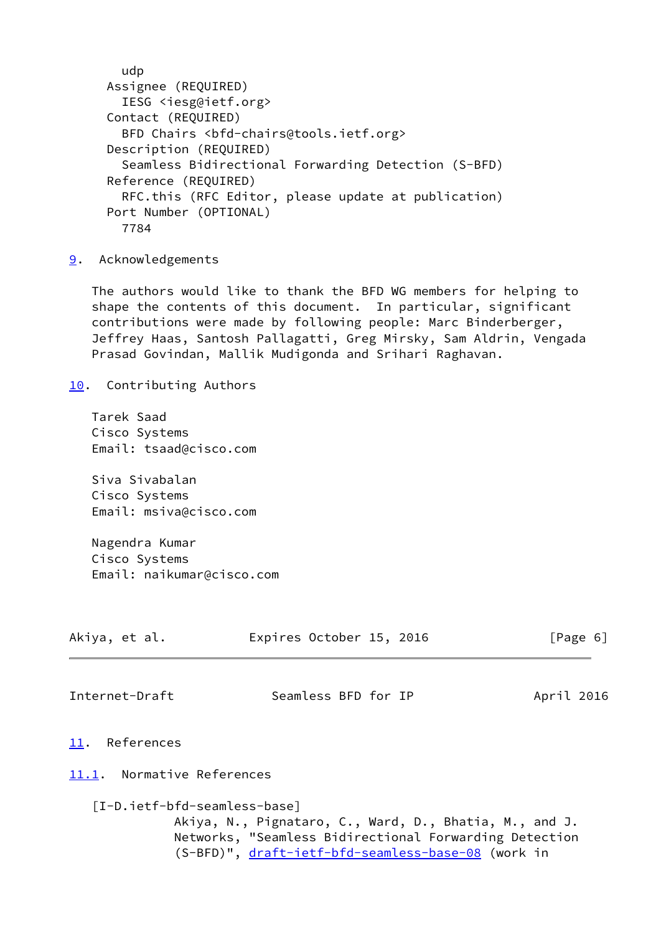```
 udp
Assignee (REQUIRED)
  IESG <iesg@ietf.org>
Contact (REQUIRED)
  BFD Chairs <bfd-chairs@tools.ietf.org>
Description (REQUIRED)
  Seamless Bidirectional Forwarding Detection (S-BFD)
Reference (REQUIRED)
  RFC.this (RFC Editor, please update at publication)
Port Number (OPTIONAL)
  7784
```
<span id="page-6-0"></span>[9](#page-6-0). Acknowledgements

 The authors would like to thank the BFD WG members for helping to shape the contents of this document. In particular, significant contributions were made by following people: Marc Binderberger, Jeffrey Haas, Santosh Pallagatti, Greg Mirsky, Sam Aldrin, Vengada Prasad Govindan, Mallik Mudigonda and Srihari Raghavan.

<span id="page-6-1"></span>[10.](#page-6-1) Contributing Authors

 Tarek Saad Cisco Systems Email: tsaad@cisco.com

 Siva Sivabalan Cisco Systems Email: msiva@cisco.com

 Nagendra Kumar Cisco Systems Email: naikumar@cisco.com

<span id="page-6-5"></span><span id="page-6-4"></span><span id="page-6-3"></span><span id="page-6-2"></span>

| Akiya, et al.              | Expires October 15, 2016                                                                                                                                                                               | [Page 6]   |
|----------------------------|--------------------------------------------------------------------------------------------------------------------------------------------------------------------------------------------------------|------------|
| Internet-Draft             | Seamless BFD for IP                                                                                                                                                                                    | April 2016 |
| 11. References             |                                                                                                                                                                                                        |            |
| 11.1. Normative References |                                                                                                                                                                                                        |            |
|                            | [I-D.ietf-bfd-seamless-base]<br>Akiya, N., Pignataro, C., Ward, D., Bhatia, M., and J.<br>Networks, "Seamless Bidirectional Forwarding Detection<br>(S-BFD)", draft-ietf-bfd-seamless-base-08 (work in |            |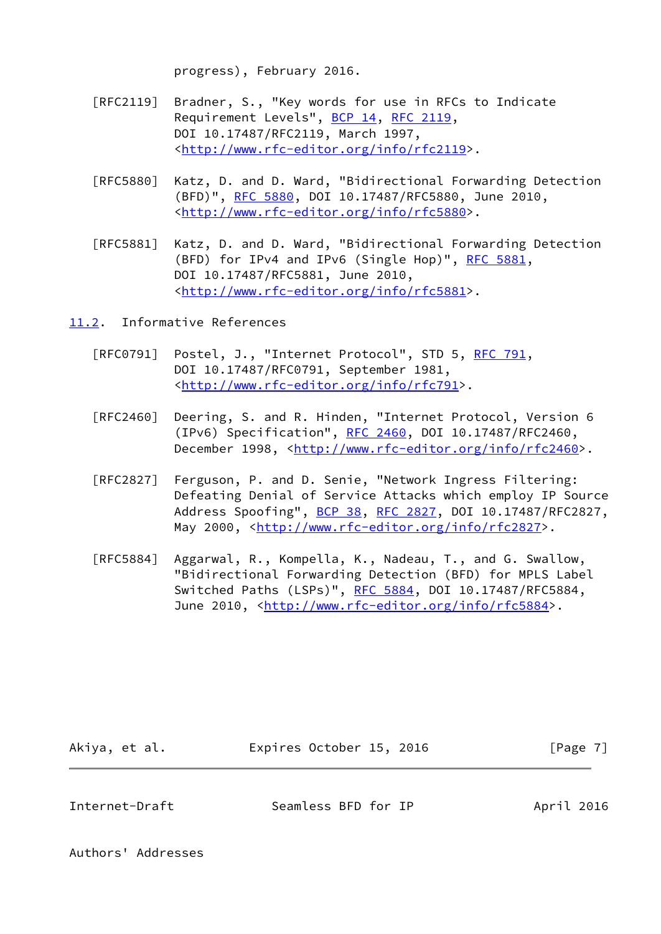progress), February 2016.

- [RFC2119] Bradner, S., "Key words for use in RFCs to Indicate Requirement Levels", [BCP 14](https://datatracker.ietf.org/doc/pdf/bcp14), [RFC 2119](https://datatracker.ietf.org/doc/pdf/rfc2119), DOI 10.17487/RFC2119, March 1997, <<http://www.rfc-editor.org/info/rfc2119>>.
- [RFC5880] Katz, D. and D. Ward, "Bidirectional Forwarding Detection (BFD)", [RFC 5880,](https://datatracker.ietf.org/doc/pdf/rfc5880) DOI 10.17487/RFC5880, June 2010, <<http://www.rfc-editor.org/info/rfc5880>>.
- [RFC5881] Katz, D. and D. Ward, "Bidirectional Forwarding Detection (BFD) for IPv4 and IPv6 (Single Hop)", [RFC 5881](https://datatracker.ietf.org/doc/pdf/rfc5881), DOI 10.17487/RFC5881, June 2010, <<http://www.rfc-editor.org/info/rfc5881>>.

<span id="page-7-0"></span>[11.2](#page-7-0). Informative References

- [RFC0791] Postel, J., "Internet Protocol", STD 5, [RFC 791](https://datatracker.ietf.org/doc/pdf/rfc791), DOI 10.17487/RFC0791, September 1981, <[http://www.rfc-editor.org/info/rfc791>](http://www.rfc-editor.org/info/rfc791).
- [RFC2460] Deering, S. and R. Hinden, "Internet Protocol, Version 6 (IPv6) Specification", [RFC 2460](https://datatracker.ietf.org/doc/pdf/rfc2460), DOI 10.17487/RFC2460, December 1998, <<http://www.rfc-editor.org/info/rfc2460>>.
- [RFC2827] Ferguson, P. and D. Senie, "Network Ingress Filtering: Defeating Denial of Service Attacks which employ IP Source Address Spoofing", [BCP 38](https://datatracker.ietf.org/doc/pdf/bcp38), [RFC 2827](https://datatracker.ietf.org/doc/pdf/rfc2827), DOI 10.17487/RFC2827, May 2000, [<http://www.rfc-editor.org/info/rfc2827](http://www.rfc-editor.org/info/rfc2827)>.
- [RFC5884] Aggarwal, R., Kompella, K., Nadeau, T., and G. Swallow, "Bidirectional Forwarding Detection (BFD) for MPLS Label Switched Paths (LSPs)", [RFC 5884,](https://datatracker.ietf.org/doc/pdf/rfc5884) DOI 10.17487/RFC5884, June 2010, <<http://www.rfc-editor.org/info/rfc5884>>.

| Akiya, et al. | Expires October 15, 2016 | [Page 7] |
|---------------|--------------------------|----------|
|               |                          |          |

<span id="page-7-1"></span>Internet-Draft Seamless BFD for IP April 2016

Authors' Addresses